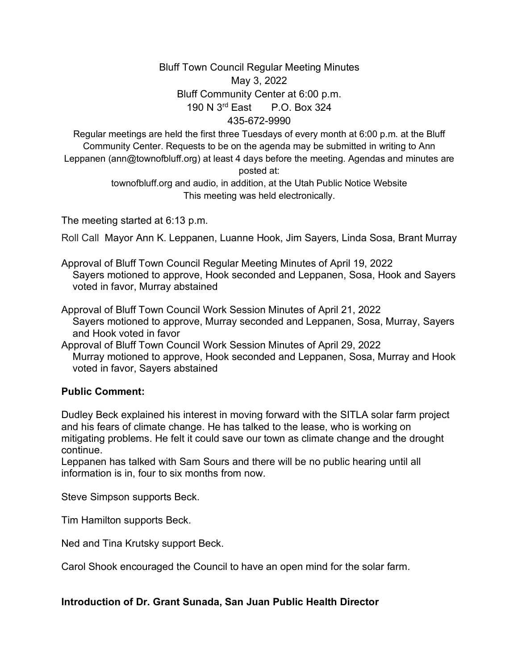## Bluff Town Council Regular Meeting Minutes May 3, 2022 Bluff Community Center at 6:00 p.m. 190 N 3rd East P.O. Box 324 435-672-9990

Regular meetings are held the first three Tuesdays of every month at 6:00 p.m. at the Bluff Community Center. Requests to be on the agenda may be submitted in writing to Ann Leppanen (ann@townofbluff.org) at least 4 days before the meeting. Agendas and minutes are posted at:

> townofbluff.org and audio, in addition, at the Utah Public Notice Website This meeting was held electronically.

The meeting started at 6:13 p.m.

Roll Call Mayor Ann K. Leppanen, Luanne Hook, Jim Sayers, Linda Sosa, Brant Murray

Approval of Bluff Town Council Regular Meeting Minutes of April 19, 2022 Sayers motioned to approve, Hook seconded and Leppanen, Sosa, Hook and Sayers voted in favor, Murray abstained

Approval of Bluff Town Council Work Session Minutes of April 21, 2022 Sayers motioned to approve, Murray seconded and Leppanen, Sosa, Murray, Sayers and Hook voted in favor

Approval of Bluff Town Council Work Session Minutes of April 29, 2022 Murray motioned to approve, Hook seconded and Leppanen, Sosa, Murray and Hook voted in favor, Sayers abstained

#### **Public Comment:**

Dudley Beck explained his interest in moving forward with the SITLA solar farm project and his fears of climate change. He has talked to the lease, who is working on mitigating problems. He felt it could save our town as climate change and the drought continue.

Leppanen has talked with Sam Sours and there will be no public hearing until all information is in, four to six months from now.

Steve Simpson supports Beck.

Tim Hamilton supports Beck.

Ned and Tina Krutsky support Beck.

Carol Shook encouraged the Council to have an open mind for the solar farm.

### **Introduction of Dr. Grant Sunada, San Juan Public Health Director**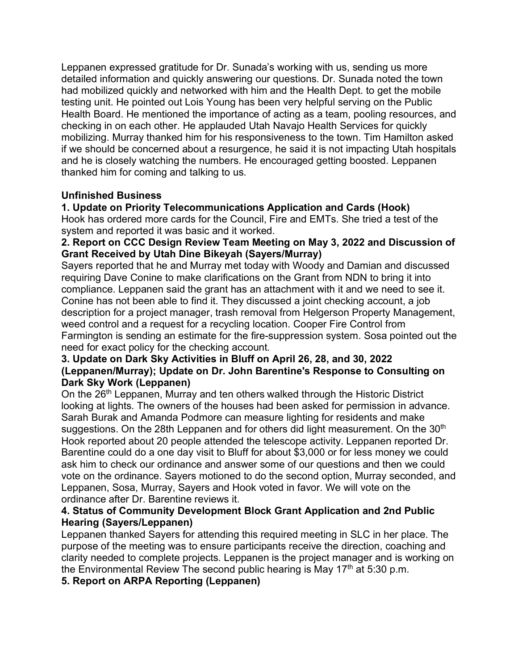Leppanen expressed gratitude for Dr. Sunada's working with us, sending us more detailed information and quickly answering our questions. Dr. Sunada noted the town had mobilized quickly and networked with him and the Health Dept. to get the mobile testing unit. He pointed out Lois Young has been very helpful serving on the Public Health Board. He mentioned the importance of acting as a team, pooling resources, and checking in on each other. He applauded Utah Navajo Health Services for quickly mobilizing. Murray thanked him for his responsiveness to the town. Tim Hamilton asked if we should be concerned about a resurgence, he said it is not impacting Utah hospitals and he is closely watching the numbers. He encouraged getting boosted. Leppanen thanked him for coming and talking to us.

### **Unfinished Business**

# **1. Update on Priority Telecommunications Application and Cards (Hook)**

Hook has ordered more cards for the Council, Fire and EMTs. She tried a test of the system and reported it was basic and it worked.

### **2. Report on CCC Design Review Team Meeting on May 3, 2022 and Discussion of Grant Received by Utah Dine Bikeyah (Sayers/Murray)**

Sayers reported that he and Murray met today with Woody and Damian and discussed requiring Dave Conine to make clarifications on the Grant from NDN to bring it into compliance. Leppanen said the grant has an attachment with it and we need to see it. Conine has not been able to find it. They discussed a joint checking account, a job description for a project manager, trash removal from Helgerson Property Management, weed control and a request for a recycling location. Cooper Fire Control from Farmington is sending an estimate for the fire-suppression system. Sosa pointed out the need for exact policy for the checking account.

### **3. Update on Dark Sky Activities in Bluff on April 26, 28, and 30, 2022 (Leppanen/Murray); Update on Dr. John Barentine's Response to Consulting on Dark Sky Work (Leppanen)**

On the 26<sup>th</sup> Leppanen, Murray and ten others walked through the Historic District looking at lights. The owners of the houses had been asked for permission in advance. Sarah Burak and Amanda Podmore can measure lighting for residents and make suggestions. On the 28th Leppanen and for others did light measurement. On the 30<sup>th</sup> Hook reported about 20 people attended the telescope activity. Leppanen reported Dr. Barentine could do a one day visit to Bluff for about \$3,000 or for less money we could ask him to check our ordinance and answer some of our questions and then we could vote on the ordinance. Sayers motioned to do the second option, Murray seconded, and Leppanen, Sosa, Murray, Sayers and Hook voted in favor. We will vote on the ordinance after Dr. Barentine reviews it.

### **4. Status of Community Development Block Grant Application and 2nd Public Hearing (Sayers/Leppanen)**

Leppanen thanked Sayers for attending this required meeting in SLC in her place. The purpose of the meeting was to ensure participants receive the direction, coaching and clarity needed to complete projects. Leppanen is the project manager and is working on the Environmental Review The second public hearing is May  $17<sup>th</sup>$  at 5:30 p.m.

## **5. Report on ARPA Reporting (Leppanen)**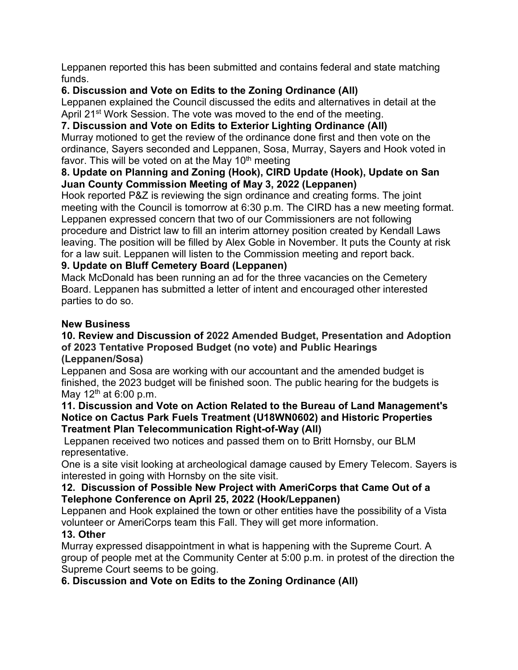Leppanen reported this has been submitted and contains federal and state matching funds.

# **6. Discussion and Vote on Edits to the Zoning Ordinance (All)**

Leppanen explained the Council discussed the edits and alternatives in detail at the April 21<sup>st</sup> Work Session. The vote was moved to the end of the meeting.

# **7. Discussion and Vote on Edits to Exterior Lighting Ordinance (All)**

Murray motioned to get the review of the ordinance done first and then vote on the ordinance, Sayers seconded and Leppanen, Sosa, Murray, Sayers and Hook voted in favor. This will be voted on at the May  $10<sup>th</sup>$  meeting

## **8. Update on Planning and Zoning (Hook), CIRD Update (Hook), Update on San Juan County Commission Meeting of May 3, 2022 (Leppanen)**

Hook reported P&Z is reviewing the sign ordinance and creating forms. The joint meeting with the Council is tomorrow at 6:30 p.m. The CIRD has a new meeting format. Leppanen expressed concern that two of our Commissioners are not following procedure and District law to fill an interim attorney position created by Kendall Laws leaving. The position will be filled by Alex Goble in November. It puts the County at risk for a law suit. Leppanen will listen to the Commission meeting and report back.

# **9. Update on Bluff Cemetery Board (Leppanen)**

Mack McDonald has been running an ad for the three vacancies on the Cemetery Board. Leppanen has submitted a letter of intent and encouraged other interested parties to do so.

## **New Business**

#### **10. Review and Discussion of 2022 Amended Budget, Presentation and Adoption of 2023 Tentative Proposed Budget (no vote) and Public Hearings (Leppanen/Sosa)**

Leppanen and Sosa are working with our accountant and the amended budget is finished, the 2023 budget will be finished soon. The public hearing for the budgets is May  $12^{th}$  at 6:00 p.m.

#### **11. Discussion and Vote on Action Related to the Bureau of Land Management's Notice on Cactus Park Fuels Treatment (U18WN0602) and Historic Properties Treatment Plan Telecommunication Right-of-Way (All)**

Leppanen received two notices and passed them on to Britt Hornsby, our BLM representative.

One is a site visit looking at archeological damage caused by Emery Telecom. Sayers is interested in going with Hornsby on the site visit.

## **12. Discussion of Possible New Project with AmeriCorps that Came Out of a Telephone Conference on April 25, 2022 (Hook/Leppanen)**

Leppanen and Hook explained the town or other entities have the possibility of a Vista volunteer or AmeriCorps team this Fall. They will get more information.

# **13. Other**

Murray expressed disappointment in what is happening with the Supreme Court. A group of people met at the Community Center at 5:00 p.m. in protest of the direction the Supreme Court seems to be going.

# **6. Discussion and Vote on Edits to the Zoning Ordinance (All)**